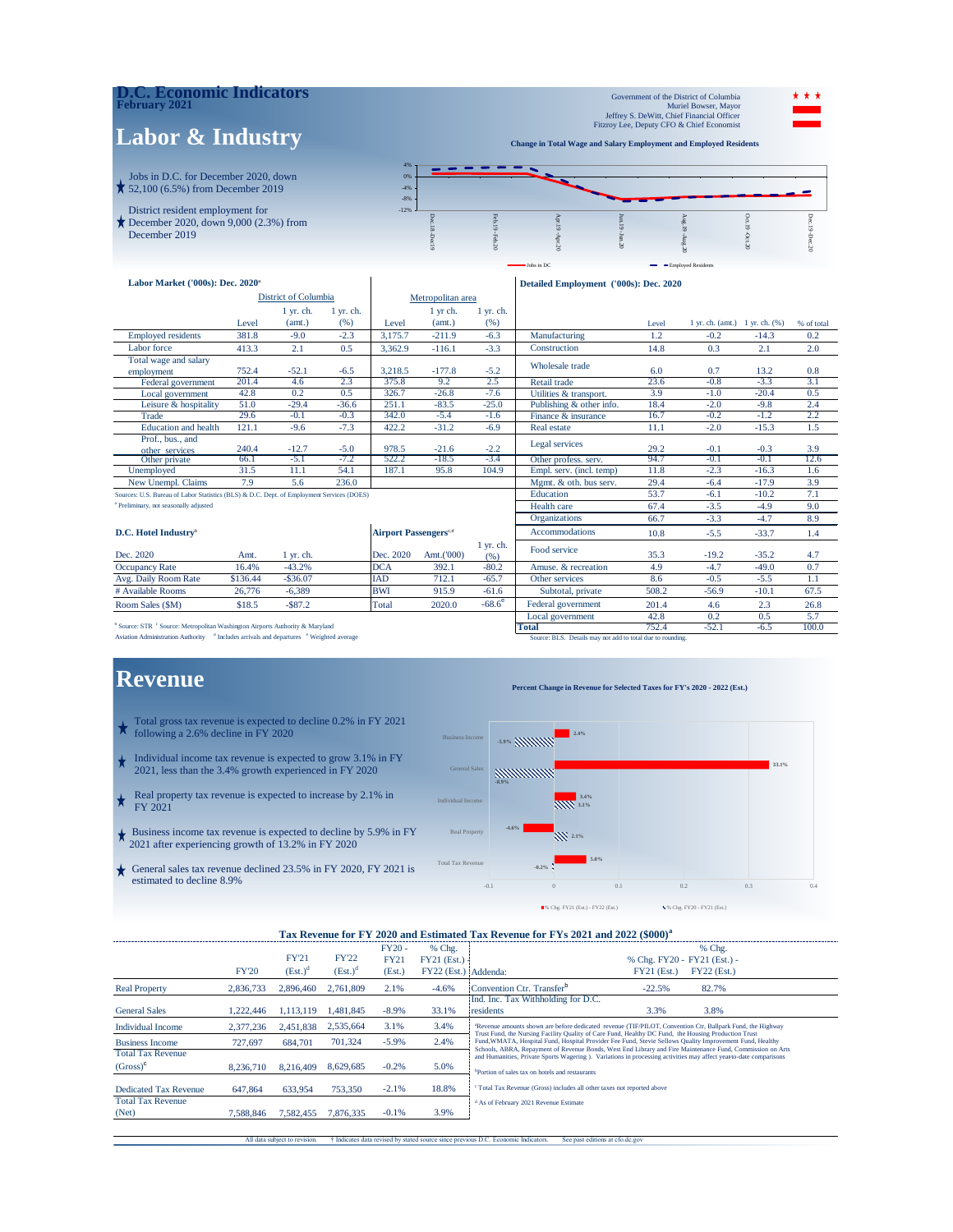### **D.C. Economic Indicators February 2021**

December 2019

## **Labor & Industry**

Government of the District of Columbia Muriel Bowser, Mayor Jeffrey S. DeWitt, Chief Financial Officer Fitzroy Lee, Deputy CFO & Chief Economist

**Change in Total Wage and Salary Employment and Employed Residents** 

Jobs in DC **Employed Residents** 



| Labor Market ('000s): Dec. 2020 <sup>a</sup>                                              |        |                      |             |                                          |                   |                        | Detailed Employment ('000s): Dec. 2020 |            |                                       |                               |            |
|-------------------------------------------------------------------------------------------|--------|----------------------|-------------|------------------------------------------|-------------------|------------------------|----------------------------------------|------------|---------------------------------------|-------------------------------|------------|
|                                                                                           |        | District of Columbia |             |                                          | Metropolitan area |                        |                                        |            |                                       |                               |            |
|                                                                                           |        | $1$ yr. ch.          | $1$ yr. ch. |                                          | 1 yr ch.          | $1$ yr. ch.            |                                        |            |                                       |                               |            |
|                                                                                           | Level  | (amt.)               | (96)        | Level                                    | (amt.)            | (% )                   |                                        | Level      | $1$ yr. ch. (amt.) $1$ yr. ch. $(% )$ |                               | % of total |
| <b>Employed residents</b>                                                                 | 381.8  | $-9.0$               | $-2.3$      | 3,175.7                                  | $-211.9$          | $-6.3$                 | Manufacturing                          | 1.2        | $-0.2$                                | $-14.3$                       | 0.2        |
| Labor force                                                                               | 413.3  | 2.1                  | 0.5         | 3,362.9                                  | $-116.1$          | $-3.3$                 | Construction                           | 14.8       | 0.3                                   | 2.1                           | 2.0        |
| Total wage and salary<br>employment                                                       | 752.4  | $-52.1$              | $-6.5$      | 3,218.5                                  | $-177.8$          | $-5.2$                 | Wholesale trade                        | 6.0        | 0.7                                   | 13.2                          | 0.8        |
| Federal government                                                                        | 201.4  | 4.6                  | 2.3         | 375.8                                    | 9.2               | 2.5                    | Retail trade                           | 23.6       | $-0.8$                                | $-3.3$                        | 3.1        |
| Local government                                                                          | 42.8   | 0.2                  | 0.5         | 326.7                                    | $-26.8$           | $-7.6$                 | Utilities & transport.                 | 3.9        | $-1.0$                                | $-20.4$                       | 0.5        |
| Leisure & hospitality                                                                     | 51.0   | $-29.4$              | $-36.6$     | 251.1                                    | $-83.5$           | $-25.0$                | Publishing & other info.               | 18.4       | $-2.0$                                | $-9.8$                        | 2.4        |
| Trade                                                                                     | 29.6   | $-0.1$               | $-0.3$      | 342.0                                    | $-5.4$            | $-1.6$                 | Finance & insurance                    | 16.7       | $-0.2$                                | $-1.2$                        | 2.2        |
| <b>Education</b> and health                                                               | 121.1  | $-9.6$               | $-7.3$      | 422.2                                    | $-31.2$           | $-6.9$                 | Real estate                            | 11.1       | $-2.0$                                | $-15.3$                       | 1.5        |
| Prof., bus., and<br>other services                                                        | 240.4  | $-12.7$              | $-5.0$      | 978.5                                    | $-21.6$           | $-2.2$                 | Legal services                         | 29.2       | $-0.1$                                | $-0.3$                        | 3.9        |
| Other private                                                                             | 66.1   | $-5.1$               | $-7.2$      | 522.2                                    | $-18.5$           | $-3.4$                 | Other profess. serv.                   | 94.7       | $-0.1$                                | $-0.1$                        | 12.6       |
| Unemployed                                                                                | 31.5   | 11.1                 | 54.1        | 187.1                                    | 95.8              | 104.9                  | Empl. serv. (incl. temp)               | 11.8       | $-2.3$                                | $-16.3$                       | 1.6        |
| New Unempl. Claims                                                                        | 7.9    | 5.6                  | 236.0       |                                          |                   |                        | Mgmt. & oth. bus serv.                 | 29.4       | $-6.4$                                | $-17.9$                       | 3.9        |
| Sources: U.S. Bureau of Labor Statistics (BLS) & D.C. Dept. of Employment Services (DOES) |        |                      |             |                                          |                   |                        | Education                              | 53.7       | $-6.1$                                | $-10.2$                       | 7.1        |
| <sup>a</sup> Preliminary, not seasonally adjusted                                         |        |                      |             |                                          |                   |                        | Health care                            | 67.4       | $-3.5$                                | $-4.9$                        | 9.0        |
|                                                                                           |        |                      |             |                                          |                   |                        | <b>Organizations</b>                   | 66.7       | $-3.3$                                | $-4.7$                        | 8.9        |
| D.C. Hotel Industry <sup>b</sup>                                                          |        |                      |             | <b>Airport Passengers</b> <sup>c,d</sup> |                   |                        | <b>Accommodations</b>                  | 10.8       | $-5.5$                                | $-33.7$                       | 1.4        |
| Dec. 2020                                                                                 | Amt.   | $1 \,$ yr. ch.       |             | Dec. 2020                                | Amt.('000)        | $1 \,$ yr. ch.<br>(96) | Food service                           | 35.3       | $-19.2$                               | $-35.2$                       | 4.7        |
| $\mathbf{O}$ $\mathbf{D}$                                                                 | 17.401 | 12.20                |             | DO A                                     | 202.1             | 00.2                   | Associated $\theta$ in a constant on   | $\sqrt{2}$ | $4 - 7$                               | $\overline{A}$ $\overline{A}$ | $\alpha$   |

|                       |          |             |            |            | YI. UII.        |                          |       |         |          |      |
|-----------------------|----------|-------------|------------|------------|-----------------|--------------------------|-------|---------|----------|------|
| Dec. 2020             | Amt.     | vr. ch.     | Dec. 2020  | Amt.('000) | (96)            | Food service             | 35.3  | $-19.2$ | $-35.2$  |      |
| <b>Occupancy Rate</b> | 16.4%    | $-43.2%$    | DCA        | 392.1      | $-80.2$         | . & recreation<br>Amuse. |       |         | -49.0    |      |
| Avg. Daily Room Rate  | \$136.44 | $-$ \$36.07 | IAD        | 712.1      | $-65.7$         | Other services           | 8.0   | $-0.5$  |          |      |
| # Available Rooms     | 26.776   | $-6.389$    | <b>BWI</b> | 915.9      | $-61.6$         | Subtotal, private        | 508.2 | $-56.9$ | $-10.1$  | 67.5 |
| Room Sales (\$M)      | \$18.5   | $-S87.2$    | Total      | 2020.0     | $-68.6^{\circ}$ | Federal government       | 201.4 | 4.0     | <u>_</u> | 26.8 |

**Example 3 Source: STR** c Source: Metropolitan Washington Airports Authority & Maryland **Total 752.4** -52.1 -6.5 100.0

### **Revenue**

- Total gross tax revenue is expected to decline 0.2% in FY 2021 following a 2.6% decline in FY 2020
- Individual income tax revenue is expected to grow 3.1% in FY 2021, less than the 3.4% growth experienced in FY 2020
- Real property tax revenue is expected to increase by 2.1% in FY 2021
- Business income tax revenue is expected to decline by 5.9% in FY 2021 after experiencing growth of 13.2% in FY 2020
- General sales tax revenue declined 23.5% in FY 2020, FY 2021 is estimated to decline 8.9%

Local government  $42.8$  0.2 0.5 5.7<br> **Total** 752.4 -52.1 -6.5 100.0 Aviation Administration Authority <sup>a</sup> Includes arrivals and departures <sup>e</sup> Weighted average Source: BLS. Details may not add to total due to rounding.

#### **Percent Change in Revenue for Selected Taxes for FY's 2020 - 2022 (Est.)**



#### Tax Revenue for FY 2020 and Estimated Tax Revenue for FYs 2021 and 2022 (\$000)<sup>a</sup>

|                              |              |              |              | $FY20 -$    | % Chg.               | % Chg.                                                                                                                                                                                                                         |
|------------------------------|--------------|--------------|--------------|-------------|----------------------|--------------------------------------------------------------------------------------------------------------------------------------------------------------------------------------------------------------------------------|
|                              |              | <b>FY'21</b> | <b>FY'22</b> | <b>FY21</b> | $FY21$ (Est.) -      | % Chg. FY20 - FY21 (Est.) -                                                                                                                                                                                                    |
|                              | <b>FY'20</b> | $(Est.)^d$   | $(Est.)^d$   | (Est.)      | FY22 (Est.) Addenda: | FY22 (Est.)<br>$FY21$ (Est.)                                                                                                                                                                                                   |
| <b>Real Property</b>         | 2,836,733    | 2,896,460    | 2.761.809    | 2.1%        | $-4.6%$              | Convention Ctr. Transfer <sup>b</sup><br>82.7%<br>$-22.5%$                                                                                                                                                                     |
|                              |              |              |              |             |                      | Ind. Inc. Tax Withholding for D.C.                                                                                                                                                                                             |
| <b>General Sales</b>         | 1.222.446    | .113.119     | 1.481.845    | $-8.9%$     | 33.1%                | 3.3%<br>3.8%<br>residents                                                                                                                                                                                                      |
| <b>Individual Income</b>     | 2.377.236    | 2.451.838    | 2.535.664    | 3.1%        | 3.4%                 | <sup>a</sup> Revenue amounts shown are before dedicated revenue (TIF/PILOT, Convention Ctr, Ballpark Fund, the Highway<br>Trust Fund, the Nursing Facility Quality of Care Fund, Healthy DC Fund, the Housing Production Trust |
| <b>Business Income</b>       | 727.697      | 684,701      | 701.324      | $-5.9%$     | 2.4%                 | Fund, WMATA, Hospital Fund, Hospital Provider Fee Fund, Stevie Sellows Quality Improvement Fund, Healthy<br>Schools, ABRA, Repayment of Revenue Bonds, West End Library and Fire Maintenance Fund, Commission on Arts          |
| <b>Total Tax Revenue</b>     |              |              |              |             |                      | and Humanities, Private Sports Wagering ). Variations in processing activities may affect year to-date comparisons                                                                                                             |
| $(Gross)^c$                  | 8.236.710    | 8.216.409    | 8,629,685    | $-0.2%$     | 5.0%                 | <sup>b</sup> Portion of sales tax on hotels and restaurants                                                                                                                                                                    |
| <b>Dedicated Tax Revenue</b> | 647,864      | 633.954      | 753,350      | $-2.1%$     | 18.8%                | <sup>c</sup> Total Tax Revenue (Gross) includes all other taxes not reported above                                                                                                                                             |
| <b>Total Tax Revenue</b>     |              |              |              |             |                      | <sup>d</sup> As of February 2021 Revenue Estimate                                                                                                                                                                              |
| (Net)                        | 7.588.846    | 7.582.455    | 7,876,335    | $-0.1%$     | 3.9%                 |                                                                                                                                                                                                                                |

All data subject to revision.  $\dagger$  Indicates data revised by stated source since previous D.C. Economic Indicators. See past editions at cfo.dc.gov